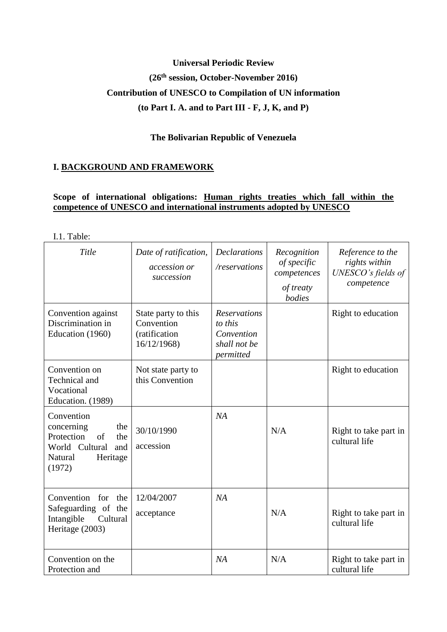# **Universal Periodic Review (26th session, October-November 2016) Contribution of UNESCO to Compilation of UN information (to Part I. A. and to Part III - F, J, K, and P)**

# **The Bolivarian Republic of Venezuela**

# **I. BACKGROUND AND FRAMEWORK**

# **Scope of international obligations: Human rights treaties which fall within the competence of UNESCO and international instruments adopted by UNESCO**

I.1. Table:

| Title                                                                                                                | Date of ratification,<br>accession or<br>succession               | <b>Declarations</b><br>/reservations                                      | Recognition<br>of specific<br>competences<br>of treaty<br>bodies | Reference to the<br>rights within<br>UNESCO's fields of<br>competence |
|----------------------------------------------------------------------------------------------------------------------|-------------------------------------------------------------------|---------------------------------------------------------------------------|------------------------------------------------------------------|-----------------------------------------------------------------------|
| Convention against<br>Discrimination in<br>Education (1960)                                                          | State party to this<br>Convention<br>(ratification<br>16/12/1968) | <b>Reservations</b><br>to this<br>Convention<br>shall not be<br>permitted |                                                                  | Right to education                                                    |
| Convention on<br>Technical and<br>Vocational<br>Education. (1989)                                                    | Not state party to<br>this Convention                             |                                                                           |                                                                  | Right to education                                                    |
| Convention<br>concerning<br>the<br>Protection<br>of<br>the<br>World Cultural<br>and<br>Natural<br>Heritage<br>(1972) | 30/10/1990<br>accession                                           | NA                                                                        | N/A                                                              | Right to take part in<br>cultural life                                |
| Convention for<br>the<br>Safeguarding of the<br>Intangible<br>Cultural<br>Heritage (2003)                            | 12/04/2007<br>acceptance                                          | NA                                                                        | N/A                                                              | Right to take part in<br>cultural life                                |
| Convention on the<br>Protection and                                                                                  |                                                                   | NA                                                                        | N/A                                                              | Right to take part in<br>cultural life                                |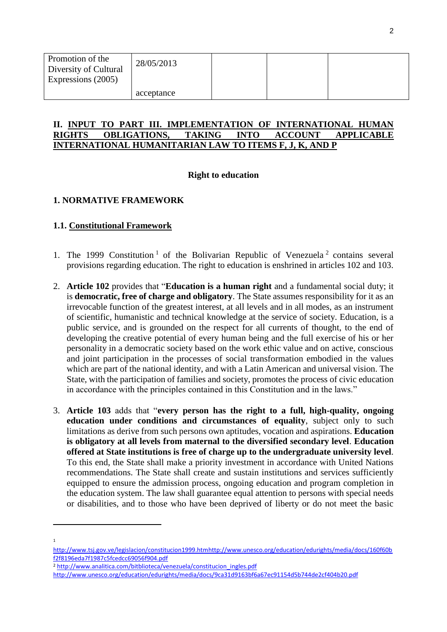| Promotion of the<br>Diversity of Cultural<br>Expressions (2005) | 28/05/2013 |  |  |
|-----------------------------------------------------------------|------------|--|--|
|                                                                 | acceptance |  |  |

#### **II. INPUT TO PART III. IMPLEMENTATION OF INTERNATIONAL HUMAN RIGHTS OBLIGATIONS, TAKING INTO ACCOUNT APPLICABLE INTERNATIONAL HUMANITARIAN LAW TO ITEMS F, J, K, AND P**

### **Right to education**

# **1. NORMATIVE FRAMEWORK**

# **1.1. Constitutional Framework**

- 1. The 1999 Constitution<sup>1</sup> of the Bolivarian Republic of Venezuela<sup>2</sup> contains several provisions regarding education. The right to education is enshrined in articles 102 and 103.
- 2. **Article 102** provides that "**Education is a human right** and a fundamental social duty; it is **democratic, free of charge and obligatory**. The State assumes responsibility for it as an irrevocable function of the greatest interest, at all levels and in all modes, as an instrument of scientific, humanistic and technical knowledge at the service of society. Education, is a public service, and is grounded on the respect for all currents of thought, to the end of developing the creative potential of every human being and the full exercise of his or her personality in a democratic society based on the work ethic value and on active, conscious and joint participation in the processes of social transformation embodied in the values which are part of the national identity, and with a Latin American and universal vision. The State, with the participation of families and society, promotes the process of civic education in accordance with the principles contained in this Constitution and in the laws."
- 3. **Article 103** adds that "**every person has the right to a full, high-quality, ongoing education under conditions and circumstances of equality**, subject only to such limitations as derive from such persons own aptitudes, vocation and aspirations. **Education is obligatory at all levels from maternal to the diversified secondary level**. **Education offered at State institutions is free of charge up to the undergraduate university level**. To this end, the State shall make a priority investment in accordance with United Nations recommendations. The State shall create and sustain institutions and services sufficiently equipped to ensure the admission process, ongoing education and program completion in the education system. The law shall guarantee equal attention to persons with special needs or disabilities, and to those who have been deprived of liberty or do not meet the basic

 $\overline{a}$ 

<sup>2</sup> [http://www.analitica.com/bitblioteca/venezuela/constitucion\\_ingles.pdf](http://www.analitica.com/bitblioteca/venezuela/constitucion_ingles.pdf) 

<sup>1</sup>

[http://www.tsj.gov.ve/legislacion/constitucion1999.htmhttp://www.unesco.org/education/edurights/media/docs/160f60b](http://www.tsj.gov.ve/legislacion/constitucion1999.htm) [f2f8196eda7f1987c5fcedcc69056f904.pdf](http://www.unesco.org/education/edurights/media/docs/160f60bf2f8196eda7f1987c5fcedcc69056f904.pdf)

<http://www.unesco.org/education/edurights/media/docs/9ca31d9163bf6a67ec91154d5b744de2cf404b20.pdf>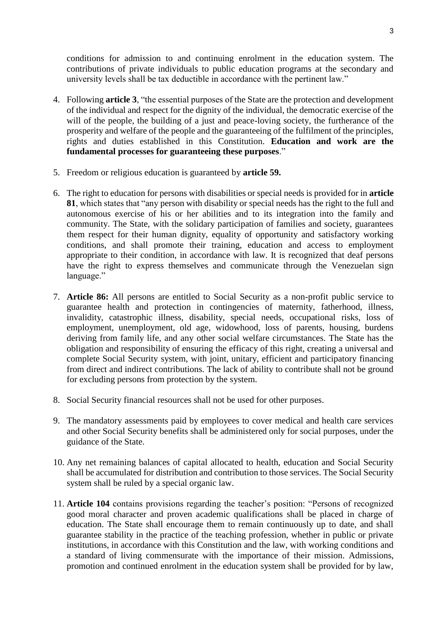conditions for admission to and continuing enrolment in the education system. The contributions of private individuals to public education programs at the secondary and university levels shall be tax deductible in accordance with the pertinent law."

- 4. Following **article 3**, "the essential purposes of the State are the protection and development of the individual and respect for the dignity of the individual, the democratic exercise of the will of the people, the building of a just and peace-loving society, the furtherance of the prosperity and welfare of the people and the guaranteeing of the fulfilment of the principles, rights and duties established in this Constitution. **Education and work are the fundamental processes for guaranteeing these purposes**."
- 5. Freedom or religious education is guaranteed by **article 59.**
- 6. The right to education for persons with disabilities or special needs is provided for in **article 81**, which states that "any person with disability or special needs has the right to the full and autonomous exercise of his or her abilities and to its integration into the family and community. The State, with the solidary participation of families and society, guarantees them respect for their human dignity, equality of opportunity and satisfactory working conditions, and shall promote their training, education and access to employment appropriate to their condition, in accordance with law. It is recognized that deaf persons have the right to express themselves and communicate through the Venezuelan sign language."
- 7. **Article 86:** All persons are entitled to Social Security as a non-profit public service to guarantee health and protection in contingencies of maternity, fatherhood, illness, invalidity, catastrophic illness, disability, special needs, occupational risks, loss of employment, unemployment, old age, widowhood, loss of parents, housing, burdens deriving from family life, and any other social welfare circumstances. The State has the obligation and responsibility of ensuring the efficacy of this right, creating a universal and complete Social Security system, with joint, unitary, efficient and participatory financing from direct and indirect contributions. The lack of ability to contribute shall not be ground for excluding persons from protection by the system.
- 8. Social Security financial resources shall not be used for other purposes.
- 9. The mandatory assessments paid by employees to cover medical and health care services and other Social Security benefits shall be administered only for social purposes, under the guidance of the State.
- 10. Any net remaining balances of capital allocated to health, education and Social Security shall be accumulated for distribution and contribution to those services. The Social Security system shall be ruled by a special organic law.
- 11. **Article 104** contains provisions regarding the teacher's position: "Persons of recognized good moral character and proven academic qualifications shall be placed in charge of education. The State shall encourage them to remain continuously up to date, and shall guarantee stability in the practice of the teaching profession, whether in public or private institutions, in accordance with this Constitution and the law, with working conditions and a standard of living commensurate with the importance of their mission. Admissions, promotion and continued enrolment in the education system shall be provided for by law,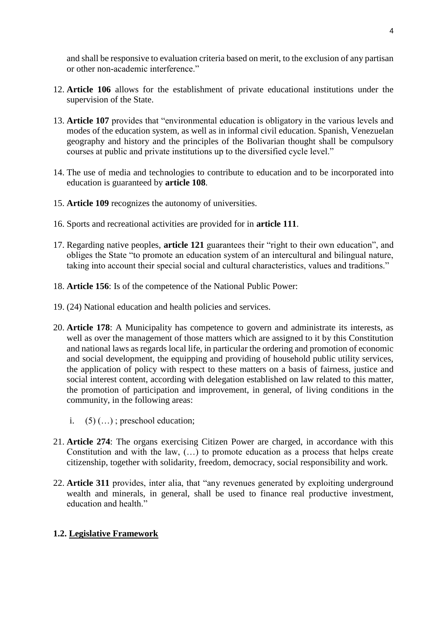and shall be responsive to evaluation criteria based on merit, to the exclusion of any partisan or other non-academic interference."

- 12. **Article 106** allows for the establishment of private educational institutions under the supervision of the State.
- 13. **Article 107** provides that "environmental education is obligatory in the various levels and modes of the education system, as well as in informal civil education. Spanish, Venezuelan geography and history and the principles of the Bolivarian thought shall be compulsory courses at public and private institutions up to the diversified cycle level."
- 14. The use of media and technologies to contribute to education and to be incorporated into education is guaranteed by **article 108**.
- 15. **Article 109** recognizes the autonomy of universities.
- 16. Sports and recreational activities are provided for in **article 111**.
- 17. Regarding native peoples, **article 121** guarantees their "right to their own education", and obliges the State "to promote an education system of an intercultural and bilingual nature, taking into account their special social and cultural characteristics, values and traditions."
- 18. **Article 156**: Is of the competence of the National Public Power:
- 19. (24) National education and health policies and services.
- 20. **Article 178**: A Municipality has competence to govern and administrate its interests, as well as over the management of those matters which are assigned to it by this Constitution and national laws as regards local life, in particular the ordering and promotion of economic and social development, the equipping and providing of household public utility services, the application of policy with respect to these matters on a basis of fairness, justice and social interest content, according with delegation established on law related to this matter, the promotion of participation and improvement, in general, of living conditions in the community, in the following areas:
	- i.  $(5)$  (...); preschool education;
- 21. **Article 274**: The organs exercising Citizen Power are charged, in accordance with this Constitution and with the law, (…) to promote education as a process that helps create citizenship, together with solidarity, freedom, democracy, social responsibility and work.
- 22. **Article 311** provides, inter alia, that "any revenues generated by exploiting underground wealth and minerals, in general, shall be used to finance real productive investment, education and health."

# **1.2. Legislative Framework**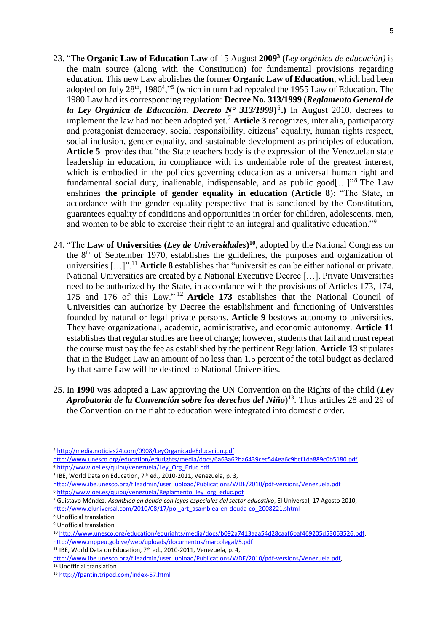- 23. "The **Organic Law of Education Law** of 15 August **2009<sup>3</sup>** (*Ley orgánica de educación)* is the main source (along with the Constitution) for fundamental provisions regarding education*.* This new Law abolishes the former **Organic Law of Education**, which had been adopted on July  $28<sup>th</sup>$ , 1980<sup>4</sup>,<sup> $,5$ </sup> (which in turn had repealed the 1955 Law of Education. The 1980 Law had its corresponding regulation: **Decree No. 313/1999 (***R[eglamento General de](http://www.oei.es/quipu/venezuela/Reglamento_ley_org_educ.pdf)  [la Ley Orgánica de Educación. Decreto N° 313/1999](http://www.oei.es/quipu/venezuela/Reglamento_ley_org_educ.pdf)***)** 6 **.)** In August 2010, decrees to implement the law had not been adopted yet.<sup>7</sup> **Article 3** recognizes, inter alia, participatory and protagonist democracy, social responsibility, citizens' equality, human rights respect, social inclusion, gender equality, and sustainable development as principles of education. Article 5 provides that "the State teachers body is the expression of the Venezuelan state leadership in education, in compliance with its undeniable role of the greatest interest, which is embodied in the policies governing education as a universal human right and fundamental social duty, inalienable, indispensable, and as public good[...]"<sup>8</sup>. The Law enshrines **the principle of gender equality in education** (**Article 8**): "The State, in accordance with the gender equality perspective that is sanctioned by the Constitution, guarantees equality of conditions and opportunities in order for children, adolescents, men, and women to be able to exercise their right to an integral and qualitative education."<sup>9</sup>
- 24. "The **Law of Universities (***Ley de Universidades***) <sup>10</sup>**, adopted by the National Congress on the 8th of September 1970, establishes the guidelines, the purposes and organization of universities […]".<sup>11</sup> **Article 8** establishes that "universities can be either national or private. National Universities are created by a National Executive Decree […]. Private Universities need to be authorized by the State, in accordance with the provisions of Articles 173, 174, 175 and 176 of this Law." <sup>12</sup> **Article 173** establishes that the National Council of Universities can authorize by Decree the establishment and functioning of Universities founded by natural or legal private persons. **Article 9** bestows autonomy to universities. They have organizational, academic, administrative, and economic autonomy. **Article 11** establishes that regular studies are free of charge; however, students that fail and must repeat the course must pay the fee as established by the pertinent Regulation. **Article 13** stipulates that in the Budget Law an amount of no less than 1.5 percent of the total budget as declared by that same Law will be destined to National Universities.
- 25. In **1990** was adopted a Law approving the UN Convention on the Rights of the child (*Ley Aprobatoria de la Convención sobre los derechos del Niño*) <sup>13</sup>. Thus articles 28 and 29 of the Convention on the right to education were integrated into domestic order.

<http://www.unesco.org/education/edurights/media/docs/6a63a62ba6439cec544ea6c9bcf1da889c0b5180.pdf>

<sup>7</sup> Guistavo Méndez, *Asamblea en deuda con leyes especiales del sector educativo*, El Universal, 17 Agosto 2010, [http://www.eluniversal.com/2010/08/17/pol\\_art\\_asamblea-en-deuda-co\\_2008221.shtml](http://www.eluniversal.com/2010/08/17/pol_art_asamblea-en-deuda-co_2008221.shtml)

<sup>3</sup> <http://media.noticias24.com/0908/LeyOrganicadeEducacion.pdf>

<sup>4</sup> [http://www.oei.es/quipu/venezuela/Ley\\_Org\\_Educ.pdf](http://www.oei.es/quipu/venezuela/Ley_Org_Educ.pdf)

<sup>&</sup>lt;sup>5</sup> IBE, World Data on Education, 7<sup>th</sup> ed., 2010-2011, Venezuela, p. 3,

[http://www.ibe.unesco.org/fileadmin/user\\_upload/Publications/WDE/2010/pdf-versions/Venezuela.pdf](http://www.ibe.unesco.org/fileadmin/user_upload/Publications/WDE/2010/pdf-versions/Venezuela.pdf)

<sup>6</sup> [http://www.oei.es/quipu/venezuela/Reglamento\\_ley\\_org\\_educ.pdf](http://www.oei.es/quipu/venezuela/Reglamento_ley_org_educ.pdf)

<sup>8</sup> Unofficial translation

<sup>9</sup> Unofficial translation

<sup>10</sup> [http://www.unesco.org/education/edurights/media/docs/b092a7413aaa54d28caaf6baf469205d53063526.pdf,](http://www.unesco.org/education/edurights/media/docs/b092a7413aaa54d28caaf6baf469205d53063526.pdf)  <http://www.mppeu.gob.ve/web/uploads/documentos/marcolegal/5.pdf>

<sup>&</sup>lt;sup>11</sup> IBE, World Data on Education,  $7<sup>th</sup>$  ed., 2010-2011, Venezuela, p. 4,

[http://www.ibe.unesco.org/fileadmin/user\\_upload/Publications/WDE/2010/pdf-versions/Venezuela.pdf,](http://www.ibe.unesco.org/fileadmin/user_upload/Publications/WDE/2010/pdf-versions/Venezuela.pdf) <sup>12</sup> Unofficial translation

<sup>13</sup> <http://fpantin.tripod.com/index-57.html>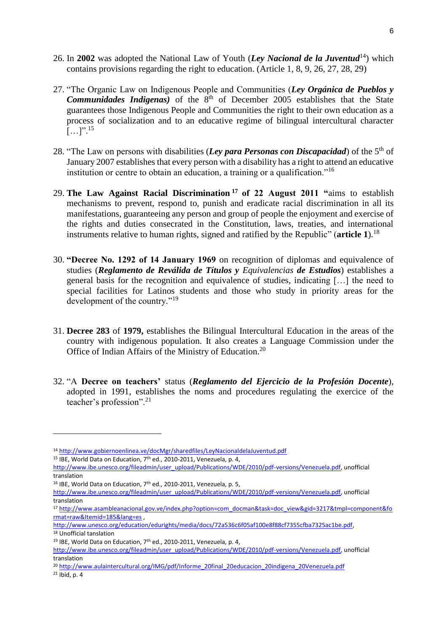- 26. In **2002** was adopted the National Law of Youth (*Ley Nacional de la Juventud*<sup>14</sup>) which contains provisions regarding the right to education. (Article 1, 8, 9, 26, 27, 28, 29)
- 27. "The Organic Law on Indigenous People and Communities (*Ley Orgánica de Pueblos y Communidades Indigenas*) of the 8<sup>th</sup> of December 2005 establishes that the State guarantees those Indigenous People and Communities the right to their own education as a process of socialization and to an educative regime of bilingual intercultural character  $[\ldots]$ ".<sup>15</sup>
- 28. "The Law on persons with disabilities (*Ley para Personas con Discapacidad*) of the 5<sup>th</sup> of January 2007 establishes that every person with a disability has a right to attend an educative institution or centre to obtain an education, a training or a qualification."<sup>16</sup>
- 29. **The Law Against Racial Discrimination <sup>17</sup> of 22 August 2011 "**aims to establish mechanisms to prevent, respond to, punish and eradicate racial discrimination in all its manifestations, guaranteeing any person and group of people the enjoyment and exercise of the rights and duties consecrated in the Constitution, laws, treaties, and international instruments relative to human rights, signed and ratified by the Republic" (**article 1**).<sup>18</sup>
- 30. **"Decree No. 1292 of 14 January 1969** on recognition of diplomas and equivalence of studies (*Reglamento de Reválida de Títulos y Equivalencias de Estudios*) establishes a general basis for the recognition and equivalence of studies, indicating […] the need to special facilities for Latinos students and those who study in priority areas for the development of the country."<sup>19</sup>
- 31. **Decree 283** of **1979,** establishes the Bilingual Intercultural Education in the areas of the country with indigenous population. It also creates a Language Commission under the Office of Indian Affairs of the Ministry of Education.<sup>20</sup>
- 32. "A **Decree on teachers'** status (*Reglamento del Ejercicio de la Profesión Docente*), adopted in 1991, establishes the noms and procedures regulating the exercice of the teacher's profession".<sup>21</sup>

<sup>14</sup> <http://www.gobiernoenlinea.ve/docMgr/sharedfiles/LeyNacionaldelaJuventud.pdf>

<sup>15</sup> IBE, World Data on Education, 7<sup>th</sup> ed., 2010-2011, Venezuela, p. 4,

[http://www.ibe.unesco.org/fileadmin/user\\_upload/Publications/WDE/2010/pdf-versions/Venezuela.pdf,](http://www.ibe.unesco.org/fileadmin/user_upload/Publications/WDE/2010/pdf-versions/Venezuela.pdf) unofficial translation

<sup>&</sup>lt;sup>16</sup> IBE, World Data on Education, 7<sup>th</sup> ed., 2010-2011, Venezuela, p. 5,

[http://www.ibe.unesco.org/fileadmin/user\\_upload/Publications/WDE/2010/pdf-versions/Venezuela.pdf,](http://www.ibe.unesco.org/fileadmin/user_upload/Publications/WDE/2010/pdf-versions/Venezuela.pdf) unofficial translation

<sup>17</sup> [http://www.asambleanacional.gov.ve/index.php?option=com\\_docman&task=doc\\_view&gid=3217&tmpl=component&fo](http://www.asambleanacional.gov.ve/index.php?option=com_docman&task=doc_view&gid=3217&tmpl=component&format=raw&Itemid=185&lang=es) [rmat=raw&Itemid=185&lang=es](http://www.asambleanacional.gov.ve/index.php?option=com_docman&task=doc_view&gid=3217&tmpl=component&format=raw&Itemid=185&lang=es) ,

[http://www.unesco.org/education/edurights/media/docs/72a536c6f05af100e8f88cf7355cfba7325ac1be.pdf,](http://www.unesco.org/education/edurights/media/docs/72a536c6f05af100e8f88cf7355cfba7325ac1be.pdf) <sup>18</sup> Unofficial tanslation

<sup>19</sup> IBE, World Data on Education, 7th ed., 2010-2011, Venezuela, p. 4,

[http://www.ibe.unesco.org/fileadmin/user\\_upload/Publications/WDE/2010/pdf-versions/Venezuela.pdf,](http://www.ibe.unesco.org/fileadmin/user_upload/Publications/WDE/2010/pdf-versions/Venezuela.pdf) unofficial translation

<sup>20</sup> [http://www.aulaintercultural.org/IMG/pdf/Informe\\_20final\\_20educacion\\_20indigena\\_20Venezuela.pdf](http://www.aulaintercultural.org/IMG/pdf/Informe_20final_20educacion_20indigena_20Venezuela.pdf)

<sup>21</sup> Ibid, p. 4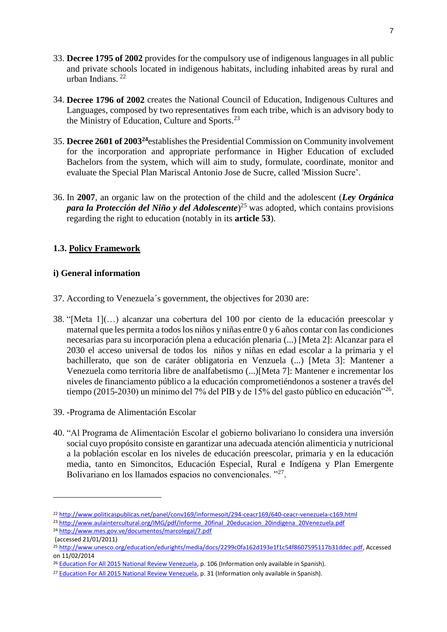- 33. **Decree 1795 of 2002** provides for the compulsory use of indigenous languages in all public and private schools located in indigenous habitats, including inhabited areas by rural and urban Indians. 22
- 34. **Decree 1796 of 2002** creates the National Council of Education, Indigenous Cultures and Languages, composed by two representatives from each tribe, which is an advisory body to the Ministry of Education, Culture and Sports.<sup>23</sup>
- 35. **Decree 2601 of 2003<sup>24</sup>**establishes the Presidential Commission on Community involvement for the incorporation and appropriate performance in Higher Education of excluded Bachelors from the system, which will aim to study, formulate, coordinate, monitor and evaluate the Special Plan Mariscal Antonio Jose de Sucre, called 'Mission Sucre'.
- 36. In **2007**, an organic law on the protection of the child and the adolescent (*Ley Orgánica para la Protección del Niño y del Adolescente*) <sup>25</sup> was adopted, which contains provisions regarding the right to education (notably in its **article 53**).

# **1.3. Policy Framework**

# **i) General information**

- 37. According to Venezuela´s government, the objectives for 2030 are:
- 38. "[Meta 1](…) alcanzar una cobertura del 100 por ciento de la educación preescolar y maternal que les permita a todos los niños y niñas entre 0 y 6 años contar con las condiciones necesarias para su incorporación plena a educación plenaria (...) [Meta 2]: Alcanzar para el 2030 el acceso universal de todos los niños y niñas en edad escolar a la primaria y el bachillerato, que son de caráter obligatoria en Venzuela (...) [Meta 3]: Mantener a Venezuela como territoria libre de analfabetismo (...)[Meta 7]: Mantener e incrementar los niveles de financiamento público a la educación comprometiéndonos a sostener a través del tiempo (2015-2030) un mínimo del 7% del PIB y de 15% del gasto público en educación"<sup>26</sup>.
- 39. -Programa de Alimentación Escolar
- 40. "Al Programa de Alimentación Escolar el gobierno bolivariano lo considera una inversión social cuyo propósito consiste en garantizar una adecuada atención alimenticia y nutricional a la población escolar en los niveles de educación preescolar, primaria y en la educación media, tanto en Simoncitos, Educación Especial, Rural e Indígena y Plan Emergente Bolivariano en los llamados espacios no convencionales. "27.

<sup>22</sup> <http://www.politicaspublicas.net/panel/conv169/informesoit/294-ceacr169/640-ceacr-venezuela-c169.html>

<sup>&</sup>lt;sup>23</sup> [http://www.aulaintercultural.org/IMG/pdf/Informe\\_20final\\_20educacion\\_20indigena\\_20Venezuela.pdf](http://www.aulaintercultural.org/IMG/pdf/Informe_20final_20educacion_20indigena_20Venezuela.pdf)

<sup>24</sup> <http://www.mes.gov.ve/documentos/marcolegal/7.pdf>

<sup>(</sup>accessed 21/01/2011)

<sup>25</sup> [http://www.unesco.org/education/edurights/media/docs/2299c0fa162d193e1f1c54f8607595117b31ddec.pdf,](http://www.unesco.org/education/edurights/media/docs/2299c0fa162d193e1f1c54f8607595117b31ddec.pdf) Accessed on 11/02/2014

<sup>&</sup>lt;sup>26</sup> [Education For All 2015 National Review Venezuela,](http://unesdoc.unesco.org/images/0023/002321/232120s.pdf) p. 106 (Information only available in Spanish).

<sup>&</sup>lt;sup>27</sup> [Education For All 2015 National Review Venezuela,](http://unesdoc.unesco.org/images/0023/002321/232120s.pdf) p. 31 (Information only available in Spanish).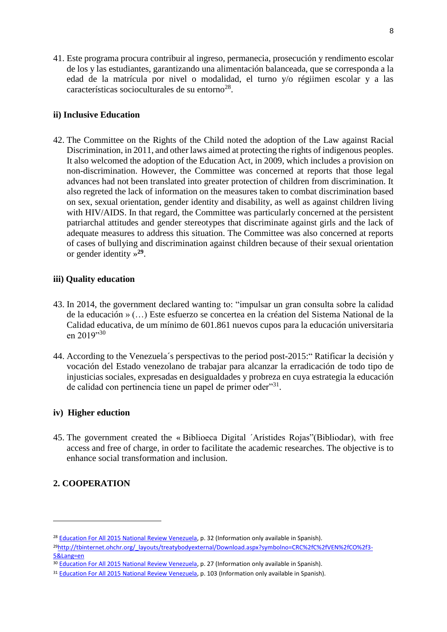41. Este programa procura contribuir al ingreso, permanecia, prosecución y rendimento escolar de los y las estudiantes, garantizando una alimentación balanceada, que se corresponda a la edad de la matrícula por nivel o modalidad, el turno y/o régiimen escolar y a las características socioculturales de su entorno<sup>28</sup>.

# **ii) Inclusive Education**

42. The Committee on the Rights of the Child noted the adoption of the Law against Racial Discrimination, in 2011, and other laws aimed at protecting the rights of indigenous peoples. It also welcomed the adoption of the Education Act, in 2009, which includes a provision on non-discrimination. However, the Committee was concerned at reports that those legal advances had not been translated into greater protection of children from discrimination. It also regreted the lack of information on the measures taken to combat discrimination based on sex, sexual orientation, gender identity and disability, as well as against children living with HIV/AIDS. In that regard, the Committee was particularly concerned at the persistent patriarchal attitudes and gender stereotypes that discriminate against girls and the lack of adequate measures to address this situation. The Committee was also concerned at reports of cases of bullying and discrimination against children because of their sexual orientation or gender identity » **29** .

### **iii) Quality education**

- 43. In 2014, the government declared wanting to: "impulsar un gran consulta sobre la calidad de la educación » (…) Este esfuerzo se concertea en la création del Sistema National de la Calidad educativa, de um mínimo de 601.861 nuevos cupos para la educación universitaria en 2019"30
- 44. According to the Venezuela´s perspectivas to the period post-2015:" Ratificar la decisión y vocación del Estado venezolano de trabajar para alcanzar la erradicación de todo tipo de injusticias sociales, expresadas en desigualdades y probreza en cuya estrategia la educación de calidad con pertinencia tiene un papel de primer oder"31.

#### **iv) Higher eduction**

45. The government created the « Biblioeca Digital ´Arístides Rojas"(Bibliodar), with free access and free of charge, in order to facilitate the academic researches. The objective is to enhance social transformation and inclusion.

# **2. COOPERATION**

<sup>&</sup>lt;sup>28</sup> [Education For All 2015 National Review Venezuela,](http://unesdoc.unesco.org/images/0023/002321/232120s.pdf) p. 32 (Information only available in Spanish).

<sup>&</sup>lt;sup>29</sup>[http://tbinternet.ohchr.org/\\_layouts/treatybodyexternal/Download.aspx?symbolno=CRC%2fC%2fVEN%2fCO%2f3-](http://tbinternet.ohchr.org/_layouts/treatybodyexternal/Download.aspx?symbolno=CRC%2fC%2fVEN%2fCO%2f3-5&Lang=en) [5&Lang=en](http://tbinternet.ohchr.org/_layouts/treatybodyexternal/Download.aspx?symbolno=CRC%2fC%2fVEN%2fCO%2f3-5&Lang=en)

<sup>&</sup>lt;sup>30</sup> [Education For All 2015 National Review Venezuela,](http://unesdoc.unesco.org/images/0023/002321/232120s.pdf) p. 27 (Information only available in Spanish).

<sup>31</sup> [Education For All 2015 National Review Venezuela,](http://unesdoc.unesco.org/images/0023/002321/232120s.pdf) p. 103 (Information only available in Spanish).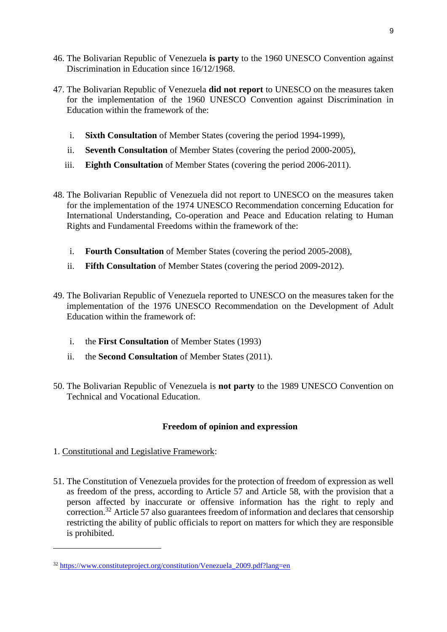- 46. The Bolivarian Republic of Venezuela **is party** to the 1960 UNESCO Convention against Discrimination in Education since 16/12/1968.
- 47. The Bolivarian Republic of Venezuela **did not report** to UNESCO on the measures taken for the implementation of the 1960 UNESCO Convention against Discrimination in Education within the framework of the:
	- i. **Sixth Consultation** of Member States (covering the period 1994-1999),
	- ii. **Seventh Consultation** of Member States (covering the period 2000-2005),
	- iii. **Eighth Consultation** of Member States (covering the period 2006-2011).
- 48. The Bolivarian Republic of Venezuela did not report to UNESCO on the measures taken for the implementation of the 1974 UNESCO Recommendation concerning Education for International Understanding, Co-operation and Peace and Education relating to Human Rights and Fundamental Freedoms within the framework of the:
	- i. **Fourth Consultation** of Member States (covering the period 2005-2008),
	- ii. **Fifth Consultation** of Member States (covering the period 2009-2012).
- 49. The Bolivarian Republic of Venezuela reported to UNESCO on the measures taken for the implementation of the 1976 UNESCO Recommendation on the Development of Adult Education within the framework of:
	- i. the **First Consultation** of Member States (1993)
	- ii. the **Second Consultation** of Member States (2011).
- 50. The Bolivarian Republic of Venezuela is **not party** to the 1989 UNESCO Convention on Technical and Vocational Education.

# **Freedom of opinion and expression**

1. Constitutional and Legislative Framework:

 $\overline{\phantom{a}}$ 

51. The Constitution of Venezuela provides for the protection of freedom of expression as well as freedom of the press, according to Article 57 and Article 58, with the provision that a person affected by inaccurate or offensive information has the right to reply and correction.<sup>32</sup> Article 57 also guarantees freedom of information and declares that censorship restricting the ability of public officials to report on matters for which they are responsible is prohibited.

<sup>32</sup> [https://www.constituteproject.org/constitution/Venezuela\\_2009.pdf?lang=en](https://www.constituteproject.org/constitution/Venezuela_2009.pdf?lang=en)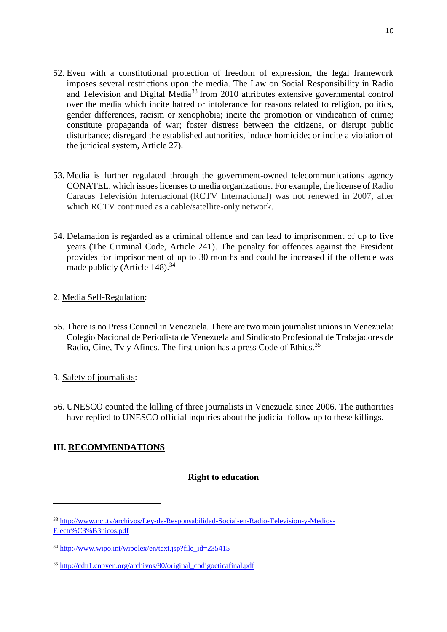- 52. Even with a constitutional protection of freedom of expression, the legal framework imposes several restrictions upon the media. The Law on Social Responsibility in Radio and Television and Digital Media<sup>33</sup> from 2010 attributes extensive governmental control over the media which incite hatred or intolerance for reasons related to religion, politics, gender differences, racism or xenophobia; incite the promotion or vindication of crime; constitute propaganda of war; foster distress between the citizens, or disrupt public disturbance; disregard the established authorities, induce homicide; or incite a violation of the juridical system, Article 27).
- 53. Media is further regulated through the government-owned telecommunications agency CONATEL, which issues licenses to media organizations. For example, the license of Radio Caracas Televisión Internacional (RCTV Internacional) was not renewed in 2007, after which RCTV continued as a cable/satellite-only network.
- 54. Defamation is regarded as a criminal offence and can lead to imprisonment of up to five years (The Criminal Code, Article 241). The penalty for offences against the President provides for imprisonment of up to 30 months and could be increased if the offence was made publicly (Article 148).<sup>34</sup>

# 2. Media Self-Regulation:

- 55. There is no Press Council in Venezuela. There are two main journalist unions in Venezuela: Colegio Nacional de Periodista de Venezuela and Sindicato Profesional de Trabajadores de Radio, Cine, Tv y Afines. The first union has a press Code of Ethics.<sup>35</sup>
- 3. Safety of journalists:
- 56. UNESCO counted the killing of three journalists in Venezuela since 2006. The authorities have replied to UNESCO official inquiries about the judicial follow up to these killings.

# **III. RECOMMENDATIONS**

 $\overline{\phantom{a}}$ 

# **Right to education**

<sup>33</sup> [http://www.nci.tv/archivos/Ley-de-Responsabilidad-Social-en-Radio-Television-y-Medios-](http://www.nci.tv/archivos/Ley-de-Responsabilidad-Social-en-Radio-Television-y-Medios-Electr%C3%B3nicos.pdf)[Electr%C3%B3nicos.pdf](http://www.nci.tv/archivos/Ley-de-Responsabilidad-Social-en-Radio-Television-y-Medios-Electr%C3%B3nicos.pdf)

 $34 \text{ http://www.wipo.int/wipolex/en/text.isp?file_id=235415}$ 

<sup>35</sup> [http://cdn1.cnpven.org/archivos/80/original\\_codigoeticafinal.pdf](http://cdn1.cnpven.org/archivos/80/original_codigoeticafinal.pdf)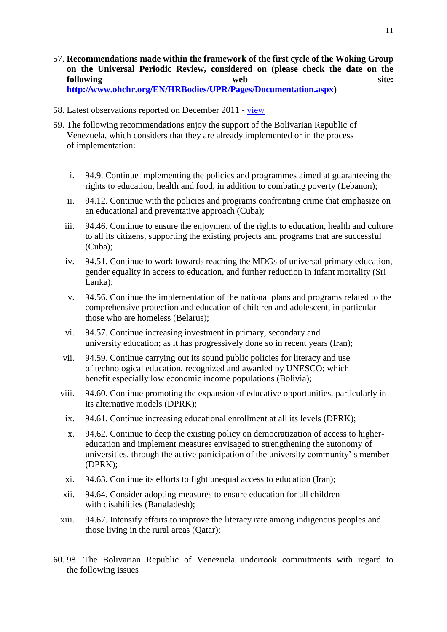- 57. **Recommendations made within the framework of the first cycle of the Woking Group on the Universal Periodic Review, considered on (please check the date on the following** web site: **[http://www.ohchr.org/EN/HRBodies/UPR/Pages/Documentation.aspx\)](http://www.ohchr.org/EN/HRBodies/UPR/Pages/Documentation.aspx)**
- 58. Latest observations reported on December 2011 [view](http://www.upr-info.org/en/review/Venezuela-%28Bolivarian-Republic-of%29/Session-12---October-2011/Review-in-the-Plenary-session#top)
- 59. The following recommendations enjoy the support of the Bolivarian Republic of Venezuela, which considers that they are already implemented or in the process of implementation:
	- i. 94.9. Continue implementing the policies and programmes aimed at guaranteeing the rights to education, health and food, in addition to combating poverty (Lebanon);
	- ii. 94.12. Continue with the policies and programs confronting crime that emphasize on an educational and preventative approach (Cuba);
	- iii. 94.46. Continue to ensure the enjoyment of the rights to education, health and culture to all its citizens, supporting the existing projects and programs that are successful (Cuba);
	- iv. 94.51. Continue to work towards reaching the MDGs of universal primary education, gender equality in access to education, and further reduction in infant mortality (Sri Lanka);
	- v. 94.56. Continue the implementation of the national plans and programs related to the comprehensive protection and education of children and adolescent, in particular those who are homeless (Belarus);
	- vi. 94.57. Continue increasing investment in primary, secondary and university education; as it has progressively done so in recent years (Iran);
	- vii. 94.59. Continue carrying out its sound public policies for literacy and use of technological education, recognized and awarded by UNESCO; which benefit especially low economic income populations (Bolivia);
	- viii. 94.60. Continue promoting the expansion of educative opportunities, particularly in its alternative models (DPRK);
		- ix. 94.61. Continue increasing educational enrollment at all its levels (DPRK);
		- x. 94.62. Continue to deep the existing policy on democratization of access to highereducation and implement measures envisaged to strengthening the autonomy of universities, through the active participation of the university community' s member (DPRK);
		- xi. 94.63. Continue its efforts to fight unequal access to education (Iran);
	- xii. 94.64. Consider adopting measures to ensure education for all children with disabilities (Bangladesh);
	- xiii. 94.67. Intensify efforts to improve the literacy rate among indigenous peoples and those living in the rural areas (Qatar);
- 60. 98. The Bolivarian Republic of Venezuela undertook commitments with regard to the following issues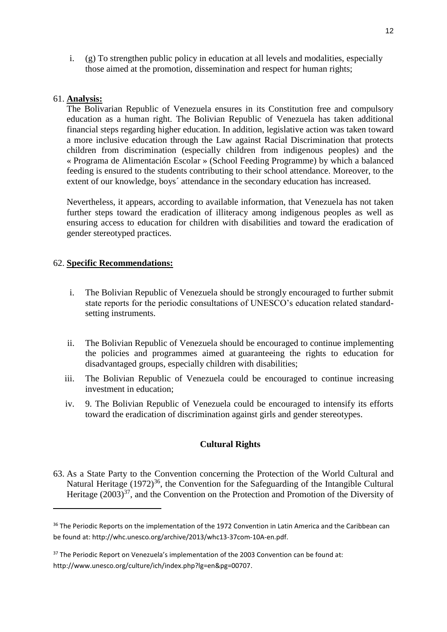i. (g) To strengthen public policy in education at all levels and modalities, especially those aimed at the promotion, dissemination and respect for human rights;

#### 61. **Analysis:**

 $\overline{a}$ 

The Bolivarian Republic of Venezuela ensures in its Constitution free and compulsory education as a human right. The Bolivian Republic of Venezuela has taken additional financial steps regarding higher education. In addition, legislative action was taken toward a more inclusive education through the Law against Racial Discrimination that protects children from discrimination (especially children from indigenous peoples) and the « Programa de Alimentación Escolar » (School Feeding Programme) by which a balanced feeding is ensured to the students contributing to their school attendance. Moreover, to the extent of our knowledge, boys´ attendance in the secondary education has increased.

Nevertheless, it appears, according to available information, that Venezuela has not taken further steps toward the eradication of illiteracy among indigenous peoples as well as ensuring access to education for children with disabilities and toward the eradication of gender stereotyped practices.

#### 62. **Specific Recommendations:**

- i. The Bolivian Republic of Venezuela should be strongly encouraged to further submit state reports for the periodic consultations of UNESCO's education related standardsetting instruments.
- ii. The Bolivian Republic of Venezuela should be encouraged to continue implementing the policies and programmes aimed at guaranteeing the rights to education for disadvantaged groups, especially children with disabilities;
- iii. The Bolivian Republic of Venezuela could be encouraged to continue increasing investment in education;
- iv. 9. The Bolivian Republic of Venezuela could be encouraged to intensify its efforts toward the eradication of discrimination against girls and gender stereotypes.

#### **Cultural Rights**

63. As a State Party to the Convention concerning the Protection of the World Cultural and Natural Heritage  $(1972)^{36}$ , the Convention for the Safeguarding of the Intangible Cultural Heritage  $(2003)^{37}$ , and the Convention on the Protection and Promotion of the Diversity of

<sup>&</sup>lt;sup>36</sup> The Periodic Reports on the implementation of the 1972 Convention in Latin America and the Caribbean can be found at: http://whc.unesco.org/archive/2013/whc13-37com-10A-en.pdf.

<sup>&</sup>lt;sup>37</sup> The Periodic Report on Venezuela's implementation of the 2003 Convention can be found at: http://www.unesco.org/culture/ich/index.php?lg=en&pg=00707.